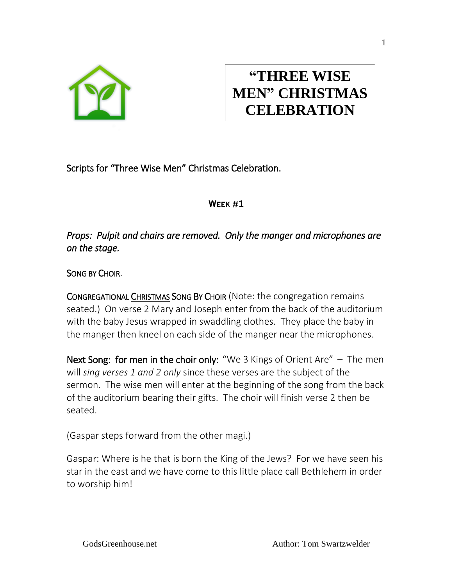

# **"THREE WISE MEN" CHRISTMAS CELEBRATION**

Scripts for "Three Wise Men" Christmas Celebration.

# **WEEK #1**

*Props: Pulpit and chairs are removed. Only the manger and microphones are on the stage.* 

SONG BY CHOIR.

CONGREGATIONAL CHRISTMAS SONG BY CHOIR (Note: the congregation remains seated.) On verse 2 Mary and Joseph enter from the back of the auditorium with the baby Jesus wrapped in swaddling clothes. They place the baby in the manger then kneel on each side of the manger near the microphones.

Next Song: for men in the choir only: "We 3 Kings of Orient Are" – The men will *sing verses 1 and 2 only* since these verses are the subject of the sermon. The wise men will enter at the beginning of the song from the back of the auditorium bearing their gifts. The choir will finish verse 2 then be seated.

(Gaspar steps forward from the other magi.)

Gaspar: Where is he that is born the King of the Jews? For we have seen his star in the east and we have come to this little place call Bethlehem in order to worship him!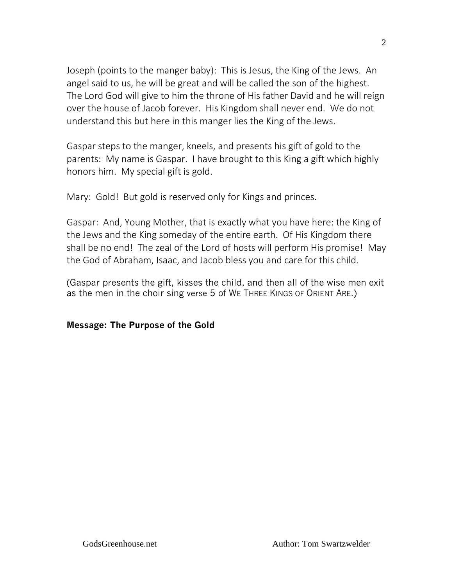Joseph (points to the manger baby): This is Jesus, the King of the Jews. An angel said to us, he will be great and will be called the son of the highest. The Lord God will give to him the throne of His father David and he will reign over the house of Jacob forever. His Kingdom shall never end. We do not understand this but here in this manger lies the King of the Jews.

Gaspar steps to the manger, kneels, and presents his gift of gold to the parents: My name is Gaspar. I have brought to this King a gift which highly honors him. My special gift is gold.

Mary: Gold! But gold is reserved only for Kings and princes.

Gaspar: And, Young Mother, that is exactly what you have here: the King of the Jews and the King someday of the entire earth. Of His Kingdom there shall be no end! The zeal of the Lord of hosts will perform His promise! May the God of Abraham, Isaac, and Jacob bless you and care for this child.

(Gaspar presents the gift, kisses the child, and then all of the wise men exit as the men in the choir sing verse 5 of WE THREE KINGS OF ORIENT ARE.)

# **Message: The Purpose of the Gold**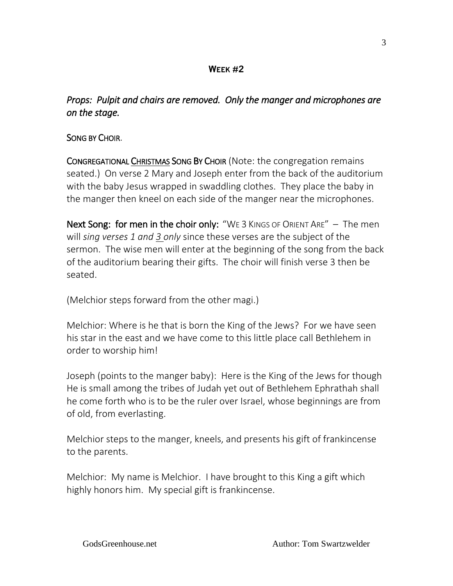# **WEEK #2**

# *Props: Pulpit and chairs are removed. Only the manger and microphones are on the stage.*

# SONG BY CHOIR.

CONGREGATIONAL CHRISTMAS SONG BY CHOIR (Note: the congregation remains seated.) On verse 2 Mary and Joseph enter from the back of the auditorium with the baby Jesus wrapped in swaddling clothes. They place the baby in the manger then kneel on each side of the manger near the microphones.

Next Song: for men in the choir only: "WE 3 KINGS OF ORIENT ARE" – The men will *sing verses 1 and 3 only* since these verses are the subject of the sermon. The wise men will enter at the beginning of the song from the back of the auditorium bearing their gifts. The choir will finish verse 3 then be seated.

(Melchior steps forward from the other magi.)

Melchior: Where is he that is born the King of the Jews? For we have seen his star in the east and we have come to this little place call Bethlehem in order to worship him!

Joseph (points to the manger baby): Here is the King of the Jews for though He is small among the tribes of Judah yet out of Bethlehem Ephrathah shall he come forth who is to be the ruler over Israel, whose beginnings are from of old, from everlasting.

Melchior steps to the manger, kneels, and presents his gift of frankincense to the parents.

Melchior: My name is Melchior. I have brought to this King a gift which highly honors him. My special gift is frankincense.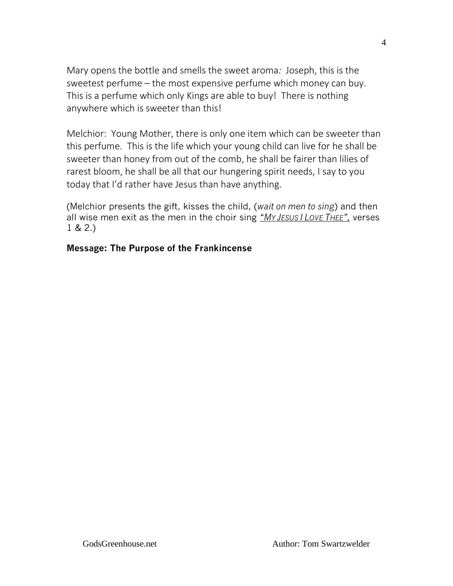Mary opens the bottle and smells the sweet aroma*:* Joseph, this is the sweetest perfume – the most expensive perfume which money can buy. This is a perfume which only Kings are able to buy! There is nothing anywhere which is sweeter than this!

Melchior: Young Mother, there is only one item which can be sweeter than this perfume. This is the life which your young child can live for he shall be sweeter than honey from out of the comb, he shall be fairer than lilies of rarest bloom, he shall be all that our hungering spirit needs, I say to you today that I'd rather have Jesus than have anything.

(Melchior presents the gift, kisses the child, (*wait on men to sing*) and then all wise men exit as the men in the choir sing *"MY JESUS I LOVE THEE",* verses 1 & 2.)

#### **Message: The Purpose of the Frankincense**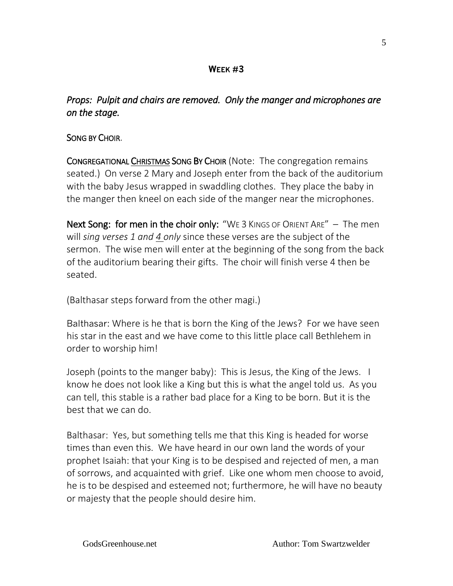# **WEEK #3**

# *Props: Pulpit and chairs are removed. Only the manger and microphones are on the stage.*

# SONG BY CHOIR.

CONGREGATIONAL CHRISTMAS SONG BY CHOIR (Note: The congregation remains seated.) On verse 2 Mary and Joseph enter from the back of the auditorium with the baby Jesus wrapped in swaddling clothes. They place the baby in the manger then kneel on each side of the manger near the microphones.

Next Song: for men in the choir only: "WE 3 KINGS OF ORIENT ARE" – The men will *sing verses 1 and 4 only* since these verses are the subject of the sermon. The wise men will enter at the beginning of the song from the back of the auditorium bearing their gifts. The choir will finish verse 4 then be seated.

(Balthasar steps forward from the other magi.)

Balthasar: Where is he that is born the King of the Jews? For we have seen his star in the east and we have come to this little place call Bethlehem in order to worship him!

Joseph (points to the manger baby): This is Jesus, the King of the Jews. I know he does not look like a King but this is what the angel told us. As you can tell, this stable is a rather bad place for a King to be born. But it is the best that we can do.

Balthasar: Yes, but something tells me that this King is headed for worse times than even this. We have heard in our own land the words of your prophet Isaiah: that your King is to be despised and rejected of men, a man of sorrows, and acquainted with grief. Like one whom men choose to avoid, he is to be despised and esteemed not; furthermore, he will have no beauty or majesty that the people should desire him.